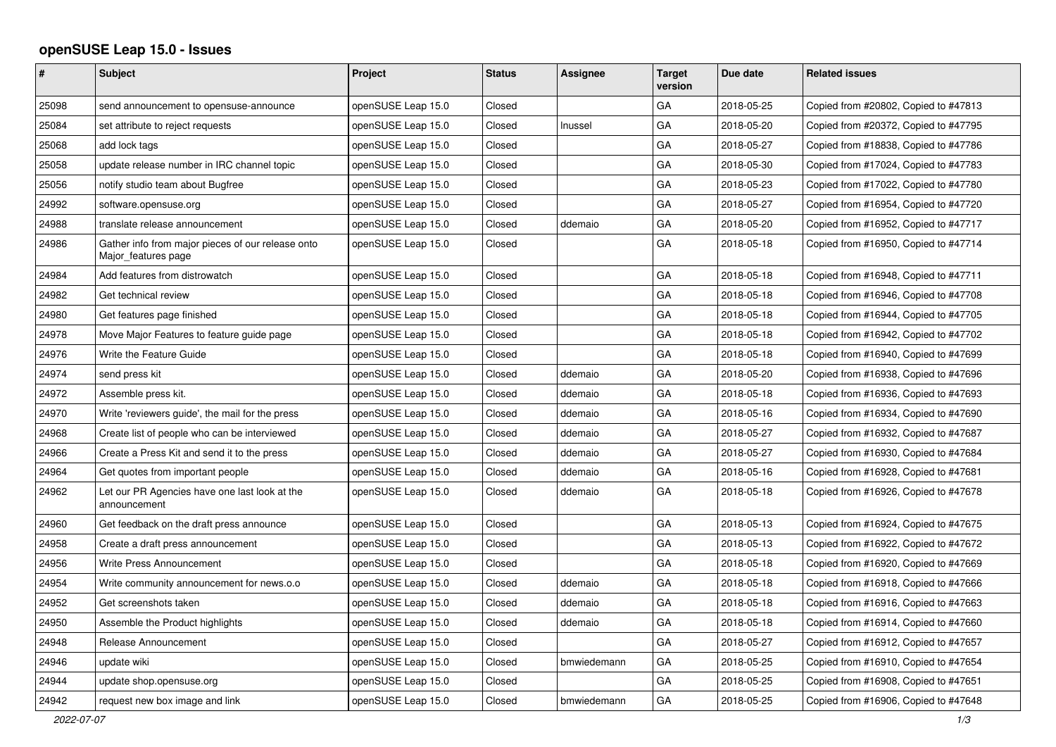## **openSUSE Leap 15.0 - Issues**

| #     | <b>Subject</b>                                                           | Project            | <b>Status</b> | <b>Assignee</b> | <b>Target</b><br>version | Due date   | <b>Related issues</b>                |
|-------|--------------------------------------------------------------------------|--------------------|---------------|-----------------|--------------------------|------------|--------------------------------------|
| 25098 | send announcement to opensuse-announce                                   | openSUSE Leap 15.0 | Closed        |                 | GA                       | 2018-05-25 | Copied from #20802, Copied to #47813 |
| 25084 | set attribute to reject requests                                         | openSUSE Leap 15.0 | Closed        | Inussel         | GA                       | 2018-05-20 | Copied from #20372, Copied to #47795 |
| 25068 | add lock tags                                                            | openSUSE Leap 15.0 | Closed        |                 | GA                       | 2018-05-27 | Copied from #18838, Copied to #47786 |
| 25058 | update release number in IRC channel topic                               | openSUSE Leap 15.0 | Closed        |                 | GA                       | 2018-05-30 | Copied from #17024, Copied to #47783 |
| 25056 | notify studio team about Bugfree                                         | openSUSE Leap 15.0 | Closed        |                 | GA                       | 2018-05-23 | Copied from #17022, Copied to #47780 |
| 24992 | software.opensuse.org                                                    | openSUSE Leap 15.0 | Closed        |                 | GA                       | 2018-05-27 | Copied from #16954, Copied to #47720 |
| 24988 | translate release announcement                                           | openSUSE Leap 15.0 | Closed        | ddemaio         | GA                       | 2018-05-20 | Copied from #16952, Copied to #47717 |
| 24986 | Gather info from major pieces of our release onto<br>Major features page | openSUSE Leap 15.0 | Closed        |                 | GA                       | 2018-05-18 | Copied from #16950, Copied to #47714 |
| 24984 | Add features from distrowatch                                            | openSUSE Leap 15.0 | Closed        |                 | GA                       | 2018-05-18 | Copied from #16948, Copied to #47711 |
| 24982 | Get technical review                                                     | openSUSE Leap 15.0 | Closed        |                 | GA                       | 2018-05-18 | Copied from #16946, Copied to #47708 |
| 24980 | Get features page finished                                               | openSUSE Leap 15.0 | Closed        |                 | GA                       | 2018-05-18 | Copied from #16944, Copied to #47705 |
| 24978 | Move Major Features to feature guide page                                | openSUSE Leap 15.0 | Closed        |                 | GA                       | 2018-05-18 | Copied from #16942, Copied to #47702 |
| 24976 | Write the Feature Guide                                                  | openSUSE Leap 15.0 | Closed        |                 | GA                       | 2018-05-18 | Copied from #16940, Copied to #47699 |
| 24974 | send press kit                                                           | openSUSE Leap 15.0 | Closed        | ddemaio         | GA                       | 2018-05-20 | Copied from #16938, Copied to #47696 |
| 24972 | Assemble press kit.                                                      | openSUSE Leap 15.0 | Closed        | ddemaio         | GA                       | 2018-05-18 | Copied from #16936, Copied to #47693 |
| 24970 | Write 'reviewers guide', the mail for the press                          | openSUSE Leap 15.0 | Closed        | ddemaio         | GA                       | 2018-05-16 | Copied from #16934, Copied to #47690 |
| 24968 | Create list of people who can be interviewed                             | openSUSE Leap 15.0 | Closed        | ddemaio         | GA                       | 2018-05-27 | Copied from #16932, Copied to #47687 |
| 24966 | Create a Press Kit and send it to the press                              | openSUSE Leap 15.0 | Closed        | ddemaio         | GA                       | 2018-05-27 | Copied from #16930, Copied to #47684 |
| 24964 | Get quotes from important people                                         | openSUSE Leap 15.0 | Closed        | ddemaio         | GA                       | 2018-05-16 | Copied from #16928, Copied to #47681 |
| 24962 | Let our PR Agencies have one last look at the<br>announcement            | openSUSE Leap 15.0 | Closed        | ddemaio         | GA                       | 2018-05-18 | Copied from #16926, Copied to #47678 |
| 24960 | Get feedback on the draft press announce                                 | openSUSE Leap 15.0 | Closed        |                 | GA                       | 2018-05-13 | Copied from #16924, Copied to #47675 |
| 24958 | Create a draft press announcement                                        | openSUSE Leap 15.0 | Closed        |                 | GA                       | 2018-05-13 | Copied from #16922, Copied to #47672 |
| 24956 | Write Press Announcement                                                 | openSUSE Leap 15.0 | Closed        |                 | GA                       | 2018-05-18 | Copied from #16920, Copied to #47669 |
| 24954 | Write community announcement for news.o.o                                | openSUSE Leap 15.0 | Closed        | ddemaio         | GA                       | 2018-05-18 | Copied from #16918, Copied to #47666 |
| 24952 | Get screenshots taken                                                    | openSUSE Leap 15.0 | Closed        | ddemaio         | GA                       | 2018-05-18 | Copied from #16916, Copied to #47663 |
| 24950 | Assemble the Product highlights                                          | openSUSE Leap 15.0 | Closed        | ddemaio         | GA                       | 2018-05-18 | Copied from #16914, Copied to #47660 |
| 24948 | Release Announcement                                                     | openSUSE Leap 15.0 | Closed        |                 | GA                       | 2018-05-27 | Copied from #16912, Copied to #47657 |
| 24946 | update wiki                                                              | openSUSE Leap 15.0 | Closed        | bmwiedemann     | GA                       | 2018-05-25 | Copied from #16910, Copied to #47654 |
| 24944 | update shop.opensuse.org                                                 | openSUSE Leap 15.0 | Closed        |                 | GA                       | 2018-05-25 | Copied from #16908, Copied to #47651 |
| 24942 | request new box image and link                                           | openSUSE Leap 15.0 | Closed        | bmwiedemann     | GA                       | 2018-05-25 | Copied from #16906, Copied to #47648 |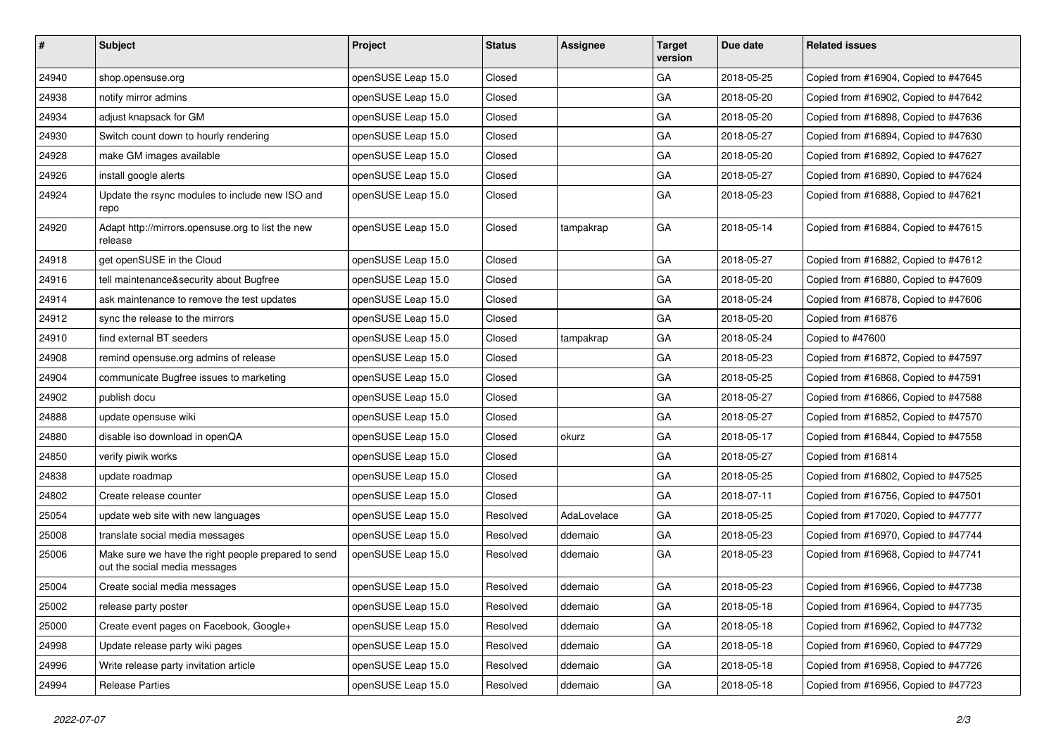| #     | Subject                                                                              | Project            | <b>Status</b> | <b>Assignee</b> | <b>Target</b><br>version | Due date   | <b>Related issues</b>                |
|-------|--------------------------------------------------------------------------------------|--------------------|---------------|-----------------|--------------------------|------------|--------------------------------------|
| 24940 | shop.opensuse.org                                                                    | openSUSE Leap 15.0 | Closed        |                 | GA                       | 2018-05-25 | Copied from #16904, Copied to #47645 |
| 24938 | notify mirror admins                                                                 | openSUSE Leap 15.0 | Closed        |                 | GA                       | 2018-05-20 | Copied from #16902, Copied to #47642 |
| 24934 | adjust knapsack for GM                                                               | openSUSE Leap 15.0 | Closed        |                 | GA                       | 2018-05-20 | Copied from #16898, Copied to #47636 |
| 24930 | Switch count down to hourly rendering                                                | openSUSE Leap 15.0 | Closed        |                 | GA                       | 2018-05-27 | Copied from #16894, Copied to #47630 |
| 24928 | make GM images available                                                             | openSUSE Leap 15.0 | Closed        |                 | GA                       | 2018-05-20 | Copied from #16892, Copied to #47627 |
| 24926 | install google alerts                                                                | openSUSE Leap 15.0 | Closed        |                 | GA                       | 2018-05-27 | Copied from #16890, Copied to #47624 |
| 24924 | Update the rsync modules to include new ISO and<br>repo                              | openSUSE Leap 15.0 | Closed        |                 | GA                       | 2018-05-23 | Copied from #16888, Copied to #47621 |
| 24920 | Adapt http://mirrors.opensuse.org to list the new<br>release                         | openSUSE Leap 15.0 | Closed        | tampakrap       | GA                       | 2018-05-14 | Copied from #16884, Copied to #47615 |
| 24918 | get openSUSE in the Cloud                                                            | openSUSE Leap 15.0 | Closed        |                 | GA                       | 2018-05-27 | Copied from #16882, Copied to #47612 |
| 24916 | tell maintenance&security about Bugfree                                              | openSUSE Leap 15.0 | Closed        |                 | GA                       | 2018-05-20 | Copied from #16880, Copied to #47609 |
| 24914 | ask maintenance to remove the test updates                                           | openSUSE Leap 15.0 | Closed        |                 | GA                       | 2018-05-24 | Copied from #16878, Copied to #47606 |
| 24912 | sync the release to the mirrors                                                      | openSUSE Leap 15.0 | Closed        |                 | GA                       | 2018-05-20 | Copied from #16876                   |
| 24910 | find external BT seeders                                                             | openSUSE Leap 15.0 | Closed        | tampakrap       | GA                       | 2018-05-24 | Copied to #47600                     |
| 24908 | remind opensuse.org admins of release                                                | openSUSE Leap 15.0 | Closed        |                 | GA                       | 2018-05-23 | Copied from #16872, Copied to #47597 |
| 24904 | communicate Bugfree issues to marketing                                              | openSUSE Leap 15.0 | Closed        |                 | GA                       | 2018-05-25 | Copied from #16868, Copied to #47591 |
| 24902 | publish docu                                                                         | openSUSE Leap 15.0 | Closed        |                 | GA                       | 2018-05-27 | Copied from #16866, Copied to #47588 |
| 24888 | update opensuse wiki                                                                 | openSUSE Leap 15.0 | Closed        |                 | GA                       | 2018-05-27 | Copied from #16852, Copied to #47570 |
| 24880 | disable iso download in openQA                                                       | openSUSE Leap 15.0 | Closed        | okurz           | GA                       | 2018-05-17 | Copied from #16844, Copied to #47558 |
| 24850 | verify piwik works                                                                   | openSUSE Leap 15.0 | Closed        |                 | GA                       | 2018-05-27 | Copied from #16814                   |
| 24838 | update roadmap                                                                       | openSUSE Leap 15.0 | Closed        |                 | GA                       | 2018-05-25 | Copied from #16802, Copied to #47525 |
| 24802 | Create release counter                                                               | openSUSE Leap 15.0 | Closed        |                 | GA                       | 2018-07-11 | Copied from #16756, Copied to #47501 |
| 25054 | update web site with new languages                                                   | openSUSE Leap 15.0 | Resolved      | AdaLovelace     | GA                       | 2018-05-25 | Copied from #17020, Copied to #47777 |
| 25008 | translate social media messages                                                      | openSUSE Leap 15.0 | Resolved      | ddemaio         | GA                       | 2018-05-23 | Copied from #16970, Copied to #47744 |
| 25006 | Make sure we have the right people prepared to send<br>out the social media messages | openSUSE Leap 15.0 | Resolved      | ddemaio         | GA                       | 2018-05-23 | Copied from #16968, Copied to #47741 |
| 25004 | Create social media messages                                                         | openSUSE Leap 15.0 | Resolved      | ddemaio         | GA                       | 2018-05-23 | Copied from #16966, Copied to #47738 |
| 25002 | release party poster                                                                 | openSUSE Leap 15.0 | Resolved      | ddemaio         | GA                       | 2018-05-18 | Copied from #16964, Copied to #47735 |
| 25000 | Create event pages on Facebook, Google+                                              | openSUSE Leap 15.0 | Resolved      | ddemaio         | GA                       | 2018-05-18 | Copied from #16962, Copied to #47732 |
| 24998 | Update release party wiki pages                                                      | openSUSE Leap 15.0 | Resolved      | ddemaio         | GA                       | 2018-05-18 | Copied from #16960, Copied to #47729 |
| 24996 | Write release party invitation article                                               | openSUSE Leap 15.0 | Resolved      | ddemaio         | GA                       | 2018-05-18 | Copied from #16958, Copied to #47726 |
| 24994 | <b>Release Parties</b>                                                               | openSUSE Leap 15.0 | Resolved      | ddemaio         | GA                       | 2018-05-18 | Copied from #16956, Copied to #47723 |